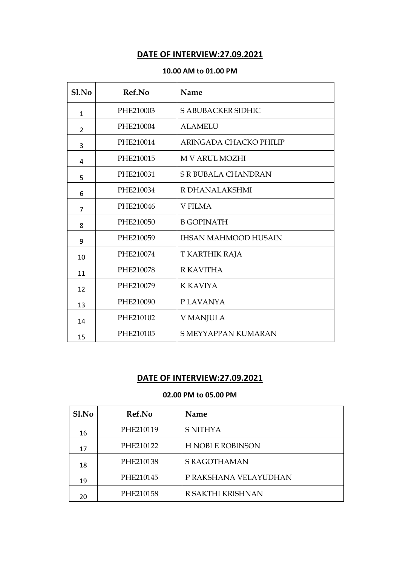# **DATE OF INTERVIEW:27.09.2021**

### **10.00 AM to 01.00 PM**

| Sl.No          | Ref.No    | Name                        |
|----------------|-----------|-----------------------------|
| $\mathbf{1}$   | PHE210003 | S ABUBACKER SIDHIC          |
| $\overline{2}$ | PHE210004 | <b>ALAMELU</b>              |
| 3              | PHE210014 | ARINGADA CHACKO PHILIP      |
| 4              | PHE210015 | <b>M V ARUL MOZHI</b>       |
| 5              | PHE210031 | <b>S R BUBALA CHANDRAN</b>  |
| 6              | PHE210034 | R DHANALAKSHMI              |
| $\overline{7}$ | PHE210046 | <b>V FILMA</b>              |
| 8              | PHE210050 | <b>B GOPINATH</b>           |
| 9              | PHE210059 | <b>IHSAN MAHMOOD HUSAIN</b> |
| 10             | PHE210074 | T KARTHIK RAJA              |
| 11             | PHE210078 | <b>R KAVITHA</b>            |
| 12             | PHE210079 | <b>K KAVIYA</b>             |
| 13             | PHE210090 | P LAVANYA                   |
| 14             | PHE210102 | <b>V MANJULA</b>            |
| 15             | PHE210105 | <b>S MEYYAPPAN KUMARAN</b>  |

## **DATE OF INTERVIEW:27.09.2021**

| Sl.No | Ref.No    | Name                    |
|-------|-----------|-------------------------|
| 16    | PHE210119 | <b>S NITHYA</b>         |
| 17    | PHE210122 | <b>H NOBLE ROBINSON</b> |
| 18    | PHE210138 | <b>S RAGOTHAMAN</b>     |
| 19    | PHE210145 | P RAKSHANA VELAYUDHAN   |
| 20    | PHE210158 | R SAKTHI KRISHNAN       |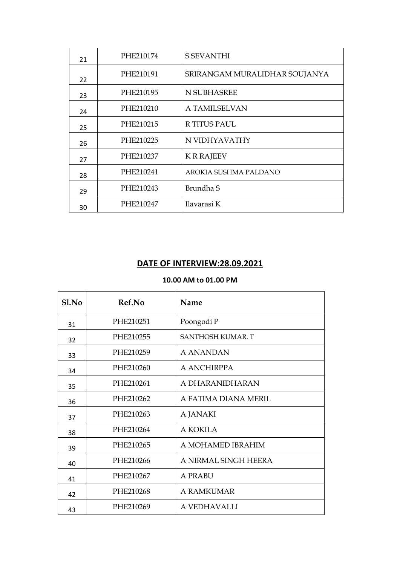| 21 | PHE210174 | <b>S SEVANTHI</b>             |
|----|-----------|-------------------------------|
| 22 | PHE210191 | SRIRANGAM MURALIDHAR SOUJANYA |
| 23 | PHE210195 | N SUBHASREE                   |
| 24 | PHE210210 | A TAMILSELVAN                 |
| 25 | PHE210215 | <b>R TITUS PAUL</b>           |
| 26 | PHE210225 | N VIDHYAVATHY                 |
| 27 | PHE210237 | <b>K R RAJEEV</b>             |
| 28 | PHE210241 | AROKIA SUSHMA PALDANO         |
| 29 | PHE210243 | Brundha S                     |
| 30 | PHE210247 | Ilavarasi K                   |

# **DATE OF INTERVIEW:28.09.2021**

### **10.00 AM to 01.00 PM**

| Sl.No | Ref.No    | <b>Name</b>              |
|-------|-----------|--------------------------|
| 31    | PHE210251 | Poongodi P               |
| 32    | PHE210255 | <b>SANTHOSH KUMAR. T</b> |
| 33    | PHE210259 | A ANANDAN                |
| 34    | PHE210260 | A ANCHIRPPA              |
| 35    | PHE210261 | A DHARANIDHARAN          |
| 36    | PHE210262 | A FATIMA DIANA MERIL     |
| 37    | PHE210263 | A JANAKI                 |
| 38    | PHE210264 | A KOKILA                 |
| 39    | PHE210265 | A MOHAMED IBRAHIM        |
| 40    | PHE210266 | A NIRMAL SINGH HEERA     |
| 41    | PHE210267 | A PRABU                  |
| 42    | PHE210268 | A RAMKUMAR               |
| 43    | PHE210269 | A VEDHAVALLI             |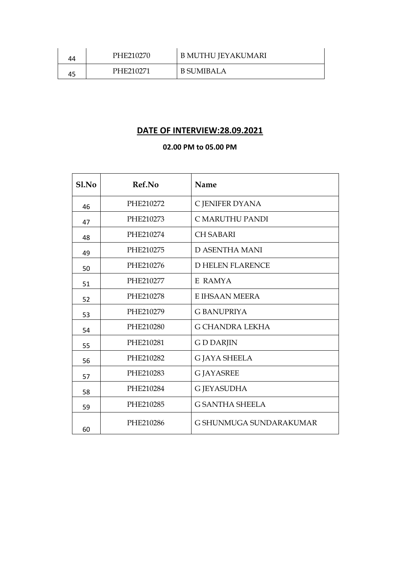| 44 | PHE210270 | B MUTHU JEYAKUMARI |
|----|-----------|--------------------|
| 45 | PHE210271 | B SUMIBALA         |

# **DATE OF INTERVIEW:28.09.2021**

| Sl.No | Ref.No    | Name                    |
|-------|-----------|-------------------------|
| 46    | PHE210272 | C JENIFER DYANA         |
| 47    | PHE210273 | C MARUTHU PANDI         |
| 48    | PHE210274 | <b>CH SABARI</b>        |
| 49    | PHE210275 | <b>D ASENTHA MANI</b>   |
| 50    | PHE210276 | <b>D HELEN FLARENCE</b> |
| 51    | PHE210277 | E RAMYA                 |
| 52    | PHE210278 | E IHSAAN MEERA          |
| 53    | PHE210279 | <b>G BANUPRIYA</b>      |
| 54    | PHE210280 | <b>G CHANDRA LEKHA</b>  |
| 55    | PHE210281 | <b>GDDARJIN</b>         |
| 56    | PHE210282 | <b>G JAYA SHEELA</b>    |
| 57    | PHE210283 | <b>G JAYASREE</b>       |
| 58    | PHE210284 | <b>G JEYASUDHA</b>      |
| 59    | PHE210285 | <b>G SANTHA SHEELA</b>  |
| 60    | PHE210286 | G SHUNMUGA SUNDARAKUMAR |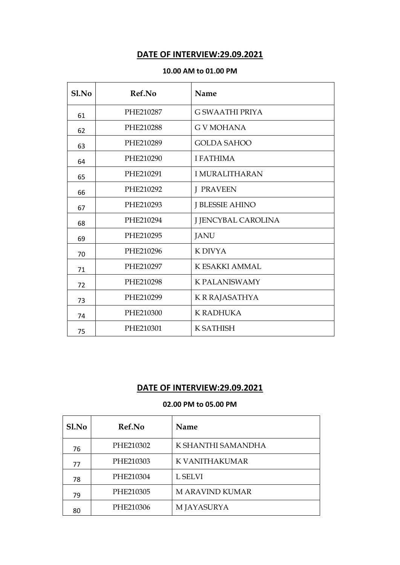# **DATE OF INTERVIEW:29.09.2021**

### **10.00 AM to 01.00 PM**

| Sl.No | Ref.No    | Name                   |
|-------|-----------|------------------------|
| 61    | PHE210287 | <b>G SWAATHI PRIYA</b> |
| 62    | PHE210288 | <b>GVMOHANA</b>        |
| 63    | PHE210289 | <b>GOLDA SAHOO</b>     |
| 64    | PHE210290 | <b>I FATHIMA</b>       |
| 65    | PHE210291 | <b>I MURALITHARAN</b>  |
| 66    | PHE210292 | <b>J PRAVEEN</b>       |
| 67    | PHE210293 | <b>J BLESSIE AHINO</b> |
| 68    | PHE210294 | J JENCYBAL CAROLINA    |
| 69    | PHE210295 | <b>JANU</b>            |
| 70    | PHE210296 | K DIVYA                |
| 71    | PHE210297 | K ESAKKI AMMAL         |
| 72    | PHE210298 | <b>K PALANISWAMY</b>   |
| 73    | PHE210299 | K R RAJASATHYA         |
| 74    | PHE210300 | <b>K RADHUKA</b>       |
| 75    | PHE210301 | <b>K SATHISH</b>       |

# **DATE OF INTERVIEW:29.09.2021**

| Sl.No | <b>Ref.No</b> | Name               |
|-------|---------------|--------------------|
| 76    | PHE210302     | K SHANTHI SAMANDHA |
| 77    | PHE210303     | K VANITHAKUMAR     |
| 78    | PHE210304     | L SELVI            |
| 79    | PHE210305     | M ARAVIND KUMAR    |
| 80    | PHE210306     | M JAYASURYA        |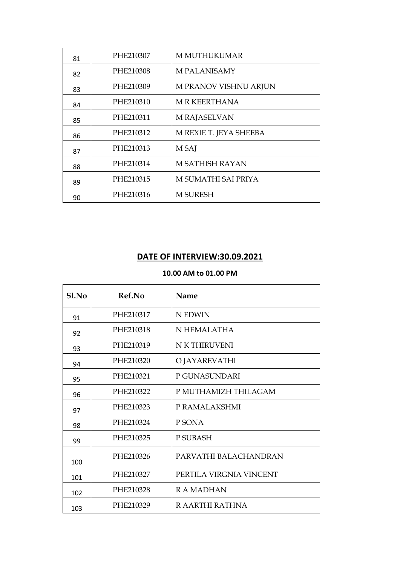| 81 | PHE210307 | <b>M MUTHUKUMAR</b>    |
|----|-----------|------------------------|
| 82 | PHE210308 | <b>M PALANISAMY</b>    |
| 83 | PHE210309 | M PRANOV VISHNU ARJUN  |
| 84 | PHE210310 | <b>MRKEERTHANA</b>     |
| 85 | PHE210311 | M RAJASELVAN           |
| 86 | PHE210312 | M REXIE T. JEYA SHEEBA |
| 87 | PHE210313 | M SAJ                  |
| 88 | PHE210314 | <b>M SATHISH RAYAN</b> |
| 89 | PHE210315 | M SUMATHI SAI PRIYA    |
| 90 | PHE210316 | <b>M SURESH</b>        |

# **DATE OF INTERVIEW:30.09.2021**

## **10.00 AM to 01.00 PM**

| Sl.No | Ref.No    | Name                    |
|-------|-----------|-------------------------|
| 91    | PHE210317 | N EDWIN                 |
| 92    | PHE210318 | N HEMALATHA             |
| 93    | PHE210319 | N K THIRUVENI           |
| 94    | PHE210320 | O JAYAREVATHI           |
| 95    | PHE210321 | P GUNASUNDARI           |
| 96    | PHE210322 | P MUTHAMIZH THILAGAM    |
| 97    | PHE210323 | P RAMALAKSHMI           |
| 98    | PHE210324 | P SONA                  |
| 99    | PHE210325 | P SUBASH                |
| 100   | PHE210326 | PARVATHI BALACHANDRAN   |
| 101   | PHE210327 | PERTILA VIRGNIA VINCENT |
| 102   | PHE210328 | <b>RAMADHAN</b>         |
| 103   | PHE210329 | R AARTHI RATHNA         |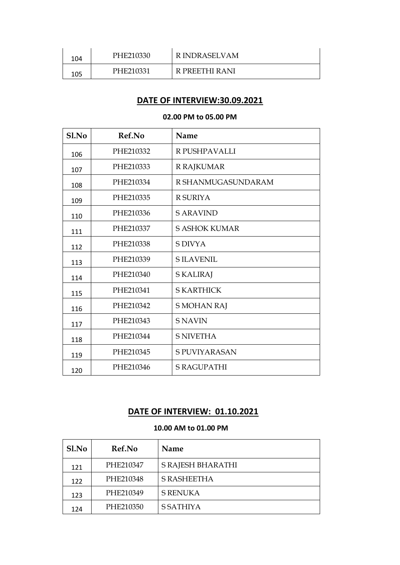| 104 | PHE210330 | <b>RINDRASELVAM</b> |
|-----|-----------|---------------------|
| 105 | PHE210331 | R PREETHI RANI      |

# **DATE OF INTERVIEW:30.09.2021**

#### **02.00 PM to 05.00 PM**

| Sl.No | Ref.No    | Name                 |
|-------|-----------|----------------------|
| 106   | PHE210332 | R PUSHPAVALLI        |
| 107   | PHE210333 | <b>R RAJKUMAR</b>    |
| 108   | PHE210334 | R SHANMUGASUNDARAM   |
| 109   | PHE210335 | <b>R SURIYA</b>      |
| 110   | PHE210336 | <b>S ARAVIND</b>     |
| 111   | PHE210337 | <b>S ASHOK KUMAR</b> |
| 112   | PHE210338 | <b>S DIVYA</b>       |
| 113   | PHE210339 | <b>SILAVENIL</b>     |
| 114   | PHE210340 | <b>SKALIRAJ</b>      |
| 115   | PHE210341 | <b>S KARTHICK</b>    |
| 116   | PHE210342 | <b>S MOHAN RAJ</b>   |
| 117   | PHE210343 | <b>S NAVIN</b>       |
| 118   | PHE210344 | <b>S NIVETHA</b>     |
| 119   | PHE210345 | <b>S PUVIYARASAN</b> |
| 120   | PHE210346 | <b>S RAGUPATHI</b>   |

# **DATE OF INTERVIEW: 01.10.2021**

#### **10.00 AM to 01.00 PM**

| Sl.No | <b>Ref.No</b> | Name               |
|-------|---------------|--------------------|
| 121   | PHE210347     | S RAJESH BHARATHI  |
| 122   | PHE210348     | <b>S RASHEETHA</b> |
| 123   | PHE210349     | <b>S RENUKA</b>    |
| 124   | PHE210350     | S SATHIYA          |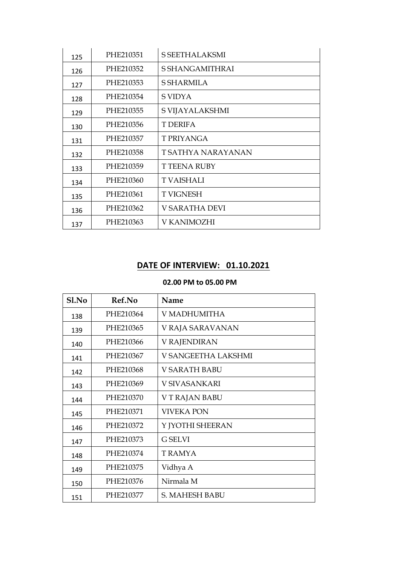| 125 | PHE210351 | <b>S SEETHALAKSMI</b> |
|-----|-----------|-----------------------|
| 126 | PHE210352 | S SHANGAMITHRAI       |
| 127 | PHE210353 | <b>S SHARMILA</b>     |
| 128 | PHE210354 | S VIDYA               |
| 129 | PHE210355 | S VIJAYALAKSHMI       |
| 130 | PHE210356 | T DERIFA              |
| 131 | PHE210357 | <b>T PRIYANGA</b>     |
| 132 | PHE210358 | T SATHYA NARAYANAN    |
| 133 | PHE210359 | <b>T TEENA RUBY</b>   |
| 134 | PHE210360 | <b>T VAISHALI</b>     |
| 135 | PHE210361 | <b>T VIGNESH</b>      |
| 136 | PHE210362 | V SARATHA DEVI        |
| 137 | PHE210363 | V KANIMOZHI           |

# **DATE OF INTERVIEW: 01.10.2021**

| S1.No | Ref.No    | Name                 |
|-------|-----------|----------------------|
| 138   | PHE210364 | V MADHUMITHA         |
| 139   | PHE210365 | V RAJA SARAVANAN     |
| 140   | PHE210366 | V RAJENDIRAN         |
| 141   | PHE210367 | V SANGEETHA LAKSHMI  |
| 142   | PHE210368 | <b>V SARATH BABU</b> |
| 143   | PHE210369 | V SIVASANKARI        |
| 144   | PHE210370 | V T RAJAN BABU       |
| 145   | PHE210371 | <b>VIVEKA PON</b>    |
| 146   | PHE210372 | Y JYOTHI SHEERAN     |
| 147   | PHE210373 | <b>G SELVI</b>       |
| 148   | PHE210374 | T RAMYA              |
| 149   | PHE210375 | Vidhya A             |
| 150   | PHE210376 | Nirmala M            |
| 151   | PHE210377 | S. MAHESH BABU       |